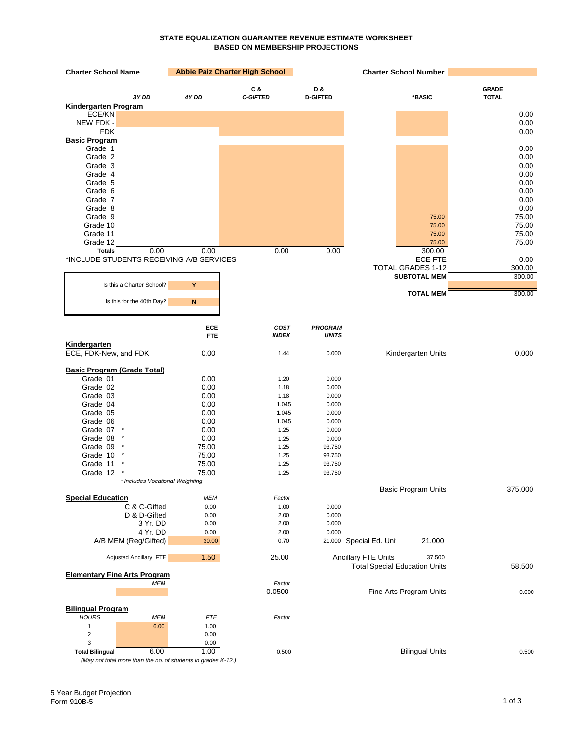## **STATE EQUALIZATION GUARANTEE REVENUE ESTIMATE WORKSHEET BASED ON MEMBERSHIP PROJECTIONS**

| <b>Charter School Name</b>                                    |                   | <b>Abbie Paiz Charter High School</b> |                                | <b>Charter School Number</b>                                                 |                              |
|---------------------------------------------------------------|-------------------|---------------------------------------|--------------------------------|------------------------------------------------------------------------------|------------------------------|
| 3Y DD                                                         | 4Y DD             | C&<br><b>C-GIFTED</b>                 | D&<br><b>D-GIFTED</b>          | *BASIC                                                                       | <b>GRADE</b><br><b>TOTAL</b> |
| Kindergarten Program                                          |                   |                                       |                                |                                                                              |                              |
| ECE/KN                                                        |                   |                                       |                                |                                                                              | 0.00                         |
| NEW FDK -<br><b>FDK</b>                                       |                   |                                       |                                |                                                                              | 0.00<br>0.00                 |
| <b>Basic Program</b>                                          |                   |                                       |                                |                                                                              |                              |
| Grade 1                                                       |                   |                                       |                                |                                                                              | 0.00                         |
| Grade 2                                                       |                   |                                       |                                |                                                                              | 0.00                         |
| Grade 3                                                       |                   |                                       |                                |                                                                              | 0.00                         |
| Grade 4                                                       |                   |                                       |                                |                                                                              | 0.00                         |
| Grade 5                                                       |                   |                                       |                                |                                                                              | 0.00                         |
| Grade 6<br>Grade 7                                            |                   |                                       |                                |                                                                              | 0.00<br>0.00                 |
| Grade 8                                                       |                   |                                       |                                |                                                                              | 0.00                         |
| Grade 9                                                       |                   |                                       |                                | 75.00                                                                        | 75.00                        |
| Grade 10                                                      |                   |                                       |                                | 75.00                                                                        | 75.00                        |
| Grade 11                                                      |                   |                                       |                                | 75.00                                                                        | 75.00                        |
| Grade 12                                                      |                   |                                       |                                | 75.00                                                                        | 75.00                        |
| <b>Totals</b><br>0.00                                         | 0.00              | 0.00                                  | 0.00                           | 300.00                                                                       |                              |
| *INCLUDE STUDENTS RECEIVING A/B SERVICES                      |                   |                                       |                                | <b>ECE FTE</b>                                                               | 0.00                         |
|                                                               |                   |                                       |                                | <b>TOTAL GRADES 1-12</b>                                                     | 300.00                       |
|                                                               |                   |                                       |                                | <b>SUBTOTAL MEM</b>                                                          | 300.00                       |
| Is this a Charter School?                                     | Y                 |                                       |                                |                                                                              |                              |
| Is this for the 40th Day?                                     | N                 |                                       |                                | <b>TOTAL MEM</b>                                                             | 300.00                       |
|                                                               |                   |                                       |                                |                                                                              |                              |
|                                                               |                   |                                       |                                |                                                                              |                              |
|                                                               | ECE<br><b>FTE</b> | COST<br><b>INDEX</b>                  | <b>PROGRAM</b><br><b>UNITS</b> |                                                                              |                              |
| Kindergarten                                                  |                   |                                       |                                |                                                                              |                              |
| ECE, FDK-New, and FDK                                         | 0.00              | 1.44                                  | 0.000                          | Kindergarten Units                                                           | 0.000                        |
|                                                               |                   |                                       |                                |                                                                              |                              |
| <b>Basic Program (Grade Total)</b>                            |                   |                                       |                                |                                                                              |                              |
| Grade 01                                                      | 0.00              | 1.20                                  | 0.000                          |                                                                              |                              |
| Grade 02                                                      | 0.00              | 1.18                                  | 0.000                          |                                                                              |                              |
| Grade 03                                                      | 0.00              | 1.18                                  | 0.000                          |                                                                              |                              |
| Grade 04<br>Grade 05                                          | 0.00              | 1.045                                 | 0.000                          |                                                                              |                              |
| Grade 06                                                      | 0.00<br>0.00      | 1.045<br>1.045                        | 0.000<br>0.000                 |                                                                              |                              |
| Grade 07                                                      | 0.00              | 1.25                                  | 0.000                          |                                                                              |                              |
| Grade 08                                                      | 0.00              | 1.25                                  | 0.000                          |                                                                              |                              |
| Grade 09                                                      | 75.00             | 1.25                                  | 93.750                         |                                                                              |                              |
| Grade 10                                                      | 75.00             | 1.25                                  | 93.750                         |                                                                              |                              |
| Grade 11                                                      | 75.00             | 1.25                                  | 93.750                         |                                                                              |                              |
| Grade 12                                                      | 75.00             | 1.25                                  | 93.750                         |                                                                              |                              |
| * Includes Vocational Weighting                               |                   |                                       |                                |                                                                              |                              |
|                                                               |                   |                                       |                                | <b>Basic Program Units</b>                                                   | 375.000                      |
| <b>Special Education</b><br>C & C-Gifted                      | MEM<br>0.00       | Factor                                | 0.000                          |                                                                              |                              |
| D & D-Gifted                                                  | 0.00              | 1.00<br>2.00                          | 0.000                          |                                                                              |                              |
| 3 Yr. DD                                                      | 0.00              | 2.00                                  | 0.000                          |                                                                              |                              |
| 4 Yr. DD                                                      | 0.00              | 2.00                                  | 0.000                          |                                                                              |                              |
| A/B MEM (Reg/Gifted)                                          | 30.00             | 0.70                                  | 21.000                         | 21.000<br>Special Ed. Uni                                                    |                              |
|                                                               |                   |                                       |                                |                                                                              |                              |
| Adjusted Ancillary FTE                                        | 1.50              | 25.00                                 |                                | <b>Ancillary FTE Units</b><br>37.500<br><b>Total Special Education Units</b> | 58.500                       |
| <b>Elementary Fine Arts Program</b>                           |                   |                                       |                                |                                                                              |                              |
| <b>MEM</b>                                                    |                   | Factor                                |                                |                                                                              |                              |
|                                                               |                   | 0.0500                                |                                | Fine Arts Program Units                                                      | 0.000                        |
| <b>Bilingual Program</b>                                      |                   |                                       |                                |                                                                              |                              |
| <b>HOURS</b><br><b>MEM</b>                                    | <b>FTE</b>        | Factor                                |                                |                                                                              |                              |
| 6.00<br>$\mathbf{1}$                                          | 1.00              |                                       |                                |                                                                              |                              |
| $\overline{\mathbf{c}}$                                       | 0.00              |                                       |                                |                                                                              |                              |
| 3                                                             | 0.00              |                                       |                                |                                                                              |                              |
| 6.00<br><b>Total Bilingual</b>                                | 1.00              | 0.500                                 |                                | <b>Bilingual Units</b>                                                       | 0.500                        |
| (May not total more than the no. of students in grades K-12.) |                   |                                       |                                |                                                                              |                              |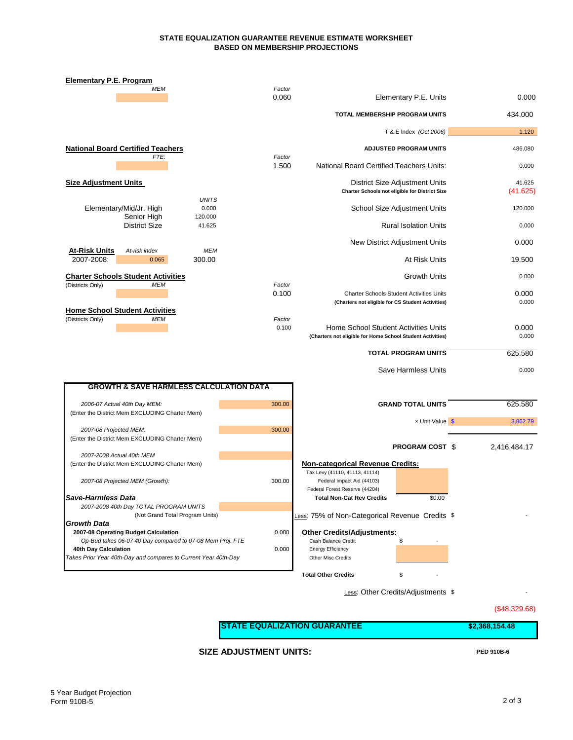#### **STATE EQUALIZATION GUARANTEE REVENUE ESTIMATE WORKSHEET BASED ON MEMBERSHIP PROJECTIONS**

| <b>Elementary P.E. Program</b>                                                    |                 |                                                                                                      |  |                    |
|-----------------------------------------------------------------------------------|-----------------|------------------------------------------------------------------------------------------------------|--|--------------------|
| <b>MEM</b>                                                                        | Factor<br>0.060 | Elementary P.E. Units                                                                                |  | 0.000              |
|                                                                                   |                 | TOTAL MEMBERSHIP PROGRAM UNITS                                                                       |  | 434.000            |
|                                                                                   |                 | T & E Index (Oct 2006)                                                                               |  | 1.120              |
| <b>National Board Certified Teachers</b>                                          |                 | <b>ADJUSTED PROGRAM UNITS</b>                                                                        |  | 486.080            |
| FTE:                                                                              | Factor<br>1.500 | National Board Certified Teachers Units:                                                             |  | 0.000              |
| <b>Size Adjustment Units</b>                                                      |                 | District Size Adjustment Units<br>Charter Schools not eligible for District Size                     |  | 41.625<br>(41.625) |
| <b>UNITS</b><br>Elementary/Mid/Jr. High<br>0.000<br>Senior High<br>120.000        |                 | School Size Adjustment Units                                                                         |  | 120.000            |
| <b>District Size</b><br>41.625                                                    |                 | <b>Rural Isolation Units</b>                                                                         |  | 0.000              |
| <b>MEM</b><br>At-risk index                                                       |                 | New District Adjustment Units                                                                        |  | 0.000              |
| <u> At-Risk Units</u><br>2007-2008:<br>300.00<br>0.065                            |                 | At Risk Units                                                                                        |  | 19.500             |
| <b>Charter Schools Student Activities</b><br><b>MEM</b>                           | Factor          | <b>Growth Units</b>                                                                                  |  | 0.000              |
| (Districts Only)                                                                  | 0.100           | <b>Charter Schools Student Activities Units</b><br>(Charters not eligible for CS Student Activities) |  | 0.000<br>0.000     |
| <b>Home School Student Activities</b><br>(Districts Only)<br>MEM                  | Factor<br>0.100 | Home School Student Activities Units<br>(Charters not eligible for Home School Student Activities)   |  | 0.000<br>0.000     |
|                                                                                   |                 | <b>TOTAL PROGRAM UNITS</b>                                                                           |  | 625.580            |
|                                                                                   |                 | Save Harmless Units                                                                                  |  | 0.000              |
| <b>GROWTH &amp; SAVE HARMLESS CALCULATION DATA</b>                                |                 |                                                                                                      |  |                    |
| 2006-07 Actual 40th Day MEM:                                                      | 300.00          | <b>GRAND TOTAL UNITS</b>                                                                             |  | 625.580            |
| (Enter the District Mem EXCLUDING Charter Mem)                                    |                 | x Unit Value \$                                                                                      |  | 3,862.79           |
| 2007-08 Projected MEM:<br>(Enter the District Mem EXCLUDING Charter Mem)          | 300.00          |                                                                                                      |  |                    |
| 2007-2008 Actual 40th MEM                                                         |                 | <b>PROGRAM COST \$</b>                                                                               |  | 2,416,484.17       |
| (Enter the District Mem EXCLUDING Charter Mem)                                    |                 | <b>Non-categorical Revenue Credits:</b><br>Tax Levy (41110, 41113, 41114)                            |  |                    |
| 2007-08 Projected MEM (Growth):                                                   | 300.00          | Federal Impact Aid (44103)<br>Federal Forest Reserve (44204)                                         |  |                    |
| Save-Harmless Data                                                                |                 | \$0.00<br>Total Non-Cat Rev Credits                                                                  |  |                    |
| 2007-2008 40th Day TOTAL PROGRAM UNITS<br>(Not Grand Total Program Units)         |                 | Less: 75% of Non-Categorical Revenue Credits \$                                                      |  |                    |
| <b>Growth Data</b>                                                                |                 |                                                                                                      |  |                    |
| 2007-08 Operating Budget Calculation                                              | 0.000           | <b>Other Credits/Adjustments:</b>                                                                    |  |                    |
| Op-Bud takes 06-07 40 Day compared to 07-08 Mem Proj. FTE<br>40th Day Calculation | 0.000           | \$<br>Cash Balance Credit<br><b>Energy Efficiency</b>                                                |  |                    |
| Takes Prior Year 40th-Day and compares to Current Year 40th-Day                   |                 | Other Misc Credits                                                                                   |  |                    |
|                                                                                   |                 | <b>Total Other Credits</b><br>\$                                                                     |  |                    |
|                                                                                   |                 | Less: Other Credits/Adjustments \$                                                                   |  |                    |
|                                                                                   |                 |                                                                                                      |  |                    |

(\$48,329.68)

**SIZE ADJUSTMENT UNITS: PED 910B-6**

**STATE EQUALIZATION GUARANTEE** \$2,368,154.48